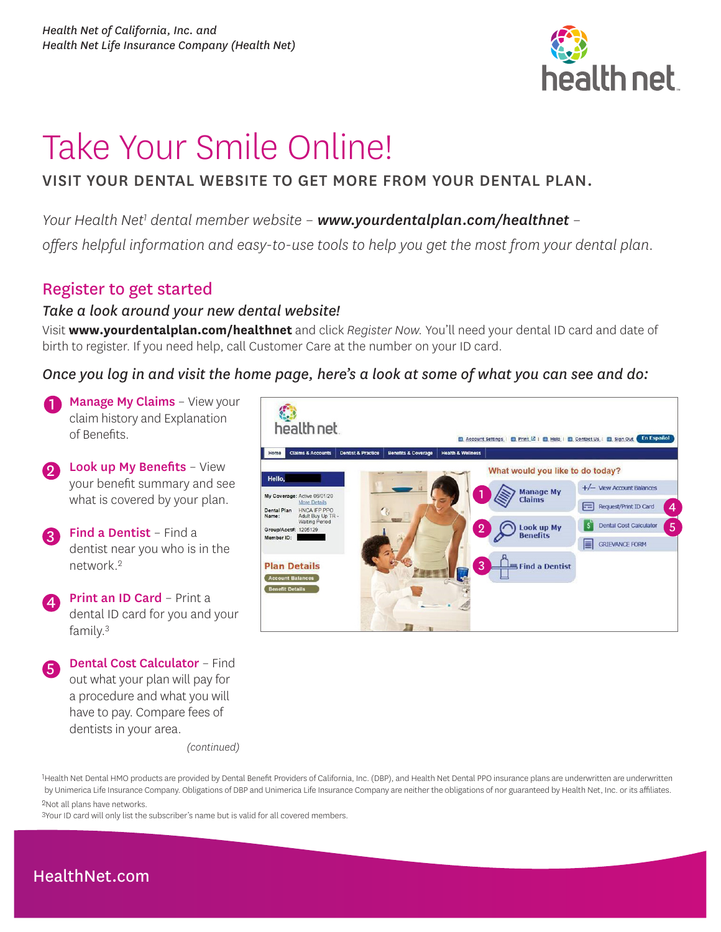

# Take Your Smile Online!

## VISIT YOUR DENTAL WEBSITE TO GET MORE FROM YOUR DENTAL PLAN.

*Your Health Net1 dental member website – [www.yourdentalplan.com/healthnet](http://www.yourdentalplan.com/healthnet) –* 

*offers helpful information and easy-to-use tools to help you get the most from your dental plan.*

## Register to get started

### *Take a look around your new dental website!*

Visit **[www.yourdentalplan.com/healthnet](https://www.yourdentalplan.com/healthnet)** and click *Register Now.* You'll need your dental ID card and date of birth to register. If you need help, call Customer Care at the number on your ID card.

*Once you log in and visit the home page, here's a look at some of what you can see and do:*

- Manage My Claims View your claim history and Explanation of Benefits.
- **2** Look up My Benefits View your benefit summary and see what is covered by your plan.
- Find a Dentist Find a dentist near you who is in the network.2
- Print an ID Card Print a dental ID card for you and your family.3
- Dental Cost Calculator Find out what your plan will pay for a procedure and what you will have to pay. Compare fees of dentists in your area.

等 health net Account Settings | D Print L2 | D Help | D Contact Us | D Sign Out | En Españo Home What would you like to do today? Hello +/- View Account Balances **Manage My** 1 My Coverage: Active 06/01/20 Claims Request/Print ID Card 4 HNCA IFP PPO<br>Adult Buy Up TF<br>Waiting Period Dental Plan S Dental Cost Calculator 5 2 Look up My Group/Acct#: 1205129 **Benefits** Member ID: GRIEVANCE FORM 3 **Plan Details** Find a Dentist Account Balances **Benefit Details** 

*(continued)*

1 Health Net Dental HMO products are provided by Dental Benefit Providers of California, Inc. (DBP), and Health Net Dental PPO insurance plans are underwritten are underwritten by Unimerica Life Insurance Company. Obligations of DBP and Unimerica Life Insurance Company are neither the obligations of nor guaranteed by Health Net, Inc. or its affiliates. 2Not all plans have networks.

3Your ID card will only list the subscriber's name but is valid for all covered members.

# [HealthNet.com](https://www.healthnet.com/)